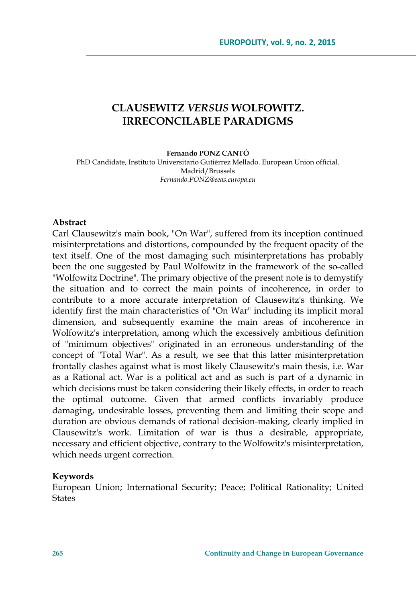# **CLAUSEWITZ** *VERSUS* **WOLFOWITZ. IRRECONCILABLE PARADIGMS**

**Fernando PONZ CANTÓ** 

PhD Candidate, Instituto Universitario Gutiérrez Mellado. European Union official. Madrid/Brussels *Fernando.PONZ@eeas.europa.eu* 

#### **Abstract**

Carl Clausewitz's main book, "On War", suffered from its inception continued misinterpretations and distortions, compounded by the frequent opacity of the text itself. One of the most damaging such misinterpretations has probably been the one suggested by Paul Wolfowitz in the framework of the so-called "Wolfowitz Doctrine". The primary objective of the present note is to demystify the situation and to correct the main points of incoherence, in order to contribute to a more accurate interpretation of Clausewitz's thinking. We identify first the main characteristics of "On War" including its implicit moral dimension, and subsequently examine the main areas of incoherence in Wolfowitz's interpretation, among which the excessively ambitious definition of "minimum objectives" originated in an erroneous understanding of the concept of "Total War". As a result, we see that this latter misinterpretation frontally clashes against what is most likely Clausewitz's main thesis, i.e. War as a Rational act. War is a political act and as such is part of a dynamic in which decisions must be taken considering their likely effects, in order to reach the optimal outcome. Given that armed conflicts invariably produce damaging, undesirable losses, preventing them and limiting their scope and duration are obvious demands of rational decision-making, clearly implied in Clausewitz's work. Limitation of war is thus a desirable, appropriate, necessary and efficient objective, contrary to the Wolfowitz's misinterpretation, which needs urgent correction.

#### **Keywords**

European Union; International Security; Peace; Political Rationality; United **States**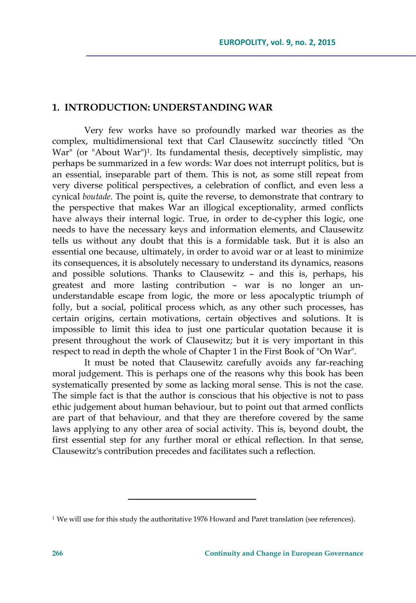## **1. INTRODUCTION: UNDERSTANDING WAR**

Very few works have so profoundly marked war theories as the complex, multidimensional text that Carl Clausewitz succinctly titled "On War" (or "About War")<sup>1</sup>. Its fundamental thesis, deceptively simplistic, may perhaps be summarized in a few words: War does not interrupt politics, but is an essential, inseparable part of them. This is not, as some still repeat from very diverse political perspectives, a celebration of conflict, and even less a cynical *boutade*. The point is, quite the reverse, to demonstrate that contrary to the perspective that makes War an illogical exceptionality, armed conflicts have always their internal logic. True, in order to de-cypher this logic, one needs to have the necessary keys and information elements, and Clausewitz tells us without any doubt that this is a formidable task. But it is also an essential one because, ultimately, in order to avoid war or at least to minimize its consequences, it is absolutely necessary to understand its dynamics, reasons and possible solutions. Thanks to Clausewitz – and this is, perhaps, his greatest and more lasting contribution – war is no longer an ununderstandable escape from logic, the more or less apocalyptic triumph of folly, but a social, political process which, as any other such processes, has certain origins, certain motivations, certain objectives and solutions. It is impossible to limit this idea to just one particular quotation because it is present throughout the work of Clausewitz; but it is very important in this respect to read in depth the whole of Chapter 1 in the First Book of "On War".

It must be noted that Clausewitz carefully avoids any far-reaching moral judgement. This is perhaps one of the reasons why this book has been systematically presented by some as lacking moral sense. This is not the case. The simple fact is that the author is conscious that his objective is not to pass ethic judgement about human behaviour, but to point out that armed conflicts are part of that behaviour, and that they are therefore covered by the same laws applying to any other area of social activity. This is, beyond doubt, the first essential step for any further moral or ethical reflection. In that sense, Clausewitz's contribution precedes and facilitates such a reflection.

<sup>&</sup>lt;sup>1</sup> We will use for this study the authoritative 1976 Howard and Paret translation (see references).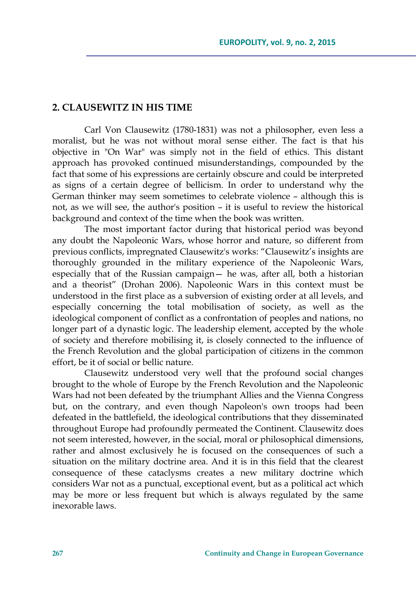### **2. CLAUSEWITZ IN HIS TIME**

Carl Von Clausewitz (1780-1831) was not a philosopher, even less a moralist, but he was not without moral sense either. The fact is that his objective in "On War" was simply not in the field of ethics. This distant approach has provoked continued misunderstandings, compounded by the fact that some of his expressions are certainly obscure and could be interpreted as signs of a certain degree of bellicism. In order to understand why the German thinker may seem sometimes to celebrate violence – although this is not, as we will see, the author's position – it is useful to review the historical background and context of the time when the book was written.

The most important factor during that historical period was beyond any doubt the Napoleonic Wars, whose horror and nature, so different from previous conflicts, impregnated Clausewitz's works: "Clausewitz's insights are thoroughly grounded in the military experience of the Napoleonic Wars, especially that of the Russian campaign— he was, after all, both a historian and a theorist" (Drohan 2006). Napoleonic Wars in this context must be understood in the first place as a subversion of existing order at all levels, and especially concerning the total mobilisation of society, as well as the ideological component of conflict as a confrontation of peoples and nations, no longer part of a dynastic logic. The leadership element, accepted by the whole of society and therefore mobilising it, is closely connected to the influence of the French Revolution and the global participation of citizens in the common effort, be it of social or bellic nature.

Clausewitz understood very well that the profound social changes brought to the whole of Europe by the French Revolution and the Napoleonic Wars had not been defeated by the triumphant Allies and the Vienna Congress but, on the contrary, and even though Napoleon's own troops had been defeated in the battlefield, the ideological contributions that they disseminated throughout Europe had profoundly permeated the Continent. Clausewitz does not seem interested, however, in the social, moral or philosophical dimensions, rather and almost exclusively he is focused on the consequences of such a situation on the military doctrine area. And it is in this field that the clearest consequence of these cataclysms creates a new military doctrine which considers War not as a punctual, exceptional event, but as a political act which may be more or less frequent but which is always regulated by the same inexorable laws.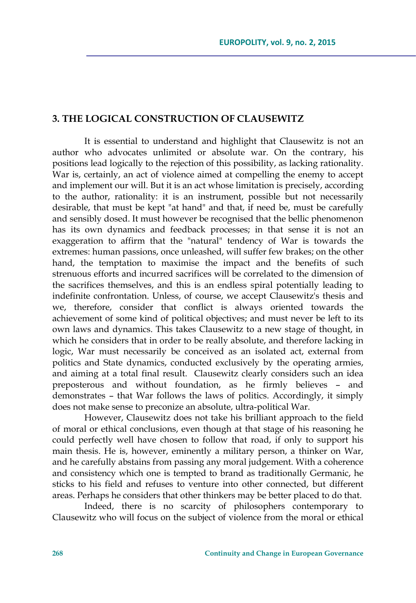## **3. THE LOGICAL CONSTRUCTION OF CLAUSEWITZ**

It is essential to understand and highlight that Clausewitz is not an author who advocates unlimited or absolute war. On the contrary, his positions lead logically to the rejection of this possibility, as lacking rationality. War is, certainly, an act of violence aimed at compelling the enemy to accept and implement our will. But it is an act whose limitation is precisely, according to the author, rationality: it is an instrument, possible but not necessarily desirable, that must be kept "at hand" and that, if need be, must be carefully and sensibly dosed. It must however be recognised that the bellic phenomenon has its own dynamics and feedback processes; in that sense it is not an exaggeration to affirm that the "natural" tendency of War is towards the extremes: human passions, once unleashed, will suffer few brakes; on the other hand, the temptation to maximise the impact and the benefits of such strenuous efforts and incurred sacrifices will be correlated to the dimension of the sacrifices themselves, and this is an endless spiral potentially leading to indefinite confrontation. Unless, of course, we accept Clausewitz's thesis and we, therefore, consider that conflict is always oriented towards the achievement of some kind of political objectives; and must never be left to its own laws and dynamics. This takes Clausewitz to a new stage of thought, in which he considers that in order to be really absolute, and therefore lacking in logic, War must necessarily be conceived as an isolated act, external from politics and State dynamics, conducted exclusively by the operating armies, and aiming at a total final result. Clausewitz clearly considers such an idea preposterous and without foundation, as he firmly believes – and demonstrates – that War follows the laws of politics. Accordingly, it simply does not make sense to preconize an absolute, ultra-political War.

However, Clausewitz does not take his brilliant approach to the field of moral or ethical conclusions, even though at that stage of his reasoning he could perfectly well have chosen to follow that road, if only to support his main thesis. He is, however, eminently a military person, a thinker on War, and he carefully abstains from passing any moral judgement. With a coherence and consistency which one is tempted to brand as traditionally Germanic, he sticks to his field and refuses to venture into other connected, but different areas. Perhaps he considers that other thinkers may be better placed to do that.

Indeed, there is no scarcity of philosophers contemporary to Clausewitz who will focus on the subject of violence from the moral or ethical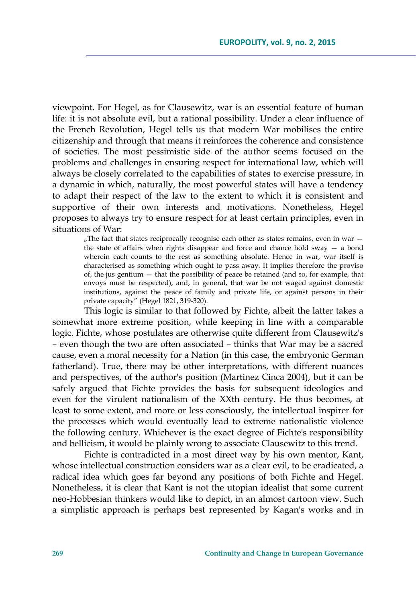viewpoint. For Hegel, as for Clausewitz, war is an essential feature of human life: it is not absolute evil, but a rational possibility. Under a clear influence of the French Revolution, Hegel tells us that modern War mobilises the entire citizenship and through that means it reinforces the coherence and consistence of societies. The most pessimistic side of the author seems focused on the problems and challenges in ensuring respect for international law, which will always be closely correlated to the capabilities of states to exercise pressure, in a dynamic in which, naturally, the most powerful states will have a tendency to adapt their respect of the law to the extent to which it is consistent and supportive of their own interests and motivations. Nonetheless, Hegel proposes to always try to ensure respect for at least certain principles, even in situations of War:

"The fact that states reciprocally recognise each other as states remains, even in war  $$ the state of affairs when rights disappear and force and chance hold sway  $-$  a bond wherein each counts to the rest as something absolute. Hence in war, war itself is characterised as something which ought to pass away. It implies therefore the proviso of, the jus gentium — that the possibility of peace be retained (and so, for example, that envoys must be respected), and, in general, that war be not waged against domestic institutions, against the peace of family and private life, or against persons in their private capacity" (Hegel 1821, 319-320).

This logic is similar to that followed by Fichte, albeit the latter takes a somewhat more extreme position, while keeping in line with a comparable logic. Fichte, whose postulates are otherwise quite different from Clausewitz's – even though the two are often associated – thinks that War may be a sacred cause, even a moral necessity for a Nation (in this case, the embryonic German fatherland). True, there may be other interpretations, with different nuances and perspectives, of the author's position (Martinez Cinca 2004), but it can be safely argued that Fichte provides the basis for subsequent ideologies and even for the virulent nationalism of the XXth century. He thus becomes, at least to some extent, and more or less consciously, the intellectual inspirer for the processes which would eventually lead to extreme nationalistic violence the following century. Whichever is the exact degree of Fichte's responsibility and bellicism, it would be plainly wrong to associate Clausewitz to this trend.

Fichte is contradicted in a most direct way by his own mentor, Kant, whose intellectual construction considers war as a clear evil, to be eradicated, a radical idea which goes far beyond any positions of both Fichte and Hegel. Nonetheless, it is clear that Kant is not the utopian idealist that some current neo-Hobbesian thinkers would like to depict, in an almost cartoon view. Such a simplistic approach is perhaps best represented by Kagan's works and in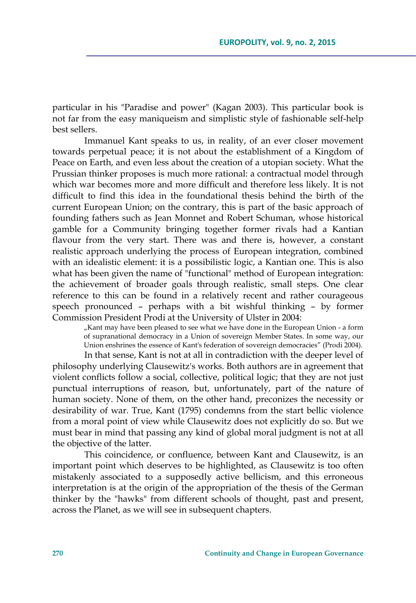particular in his "Paradise and power" (Kagan 2003). This particular book is not far from the easy maniqueism and simplistic style of fashionable self-help best sellers.

Immanuel Kant speaks to us, in reality, of an ever closer movement towards perpetual peace; it is not about the establishment of a Kingdom of Peace on Earth, and even less about the creation of a utopian society. What the Prussian thinker proposes is much more rational: a contractual model through which war becomes more and more difficult and therefore less likely. It is not difficult to find this idea in the foundational thesis behind the birth of the current European Union; on the contrary, this is part of the basic approach of founding fathers such as Jean Monnet and Robert Schuman, whose historical gamble for a Community bringing together former rivals had a Kantian flavour from the very start. There was and there is, however, a constant realistic approach underlying the process of European integration, combined with an idealistic element: it is a possibilistic logic, a Kantian one. This is also what has been given the name of "functional" method of European integration: the achievement of broader goals through realistic, small steps. One clear reference to this can be found in a relatively recent and rather courageous speech pronounced – perhaps with a bit wishful thinking – by former Commission President Prodi at the University of Ulster in 2004:

> "Kant may have been pleased to see what we have done in the European Union - a form of supranational democracy in a Union of sovereign Member States. In some way, our Union enshrines the essence of Kant's federation of sovereign democracies" (Prodi 2004).

In that sense, Kant is not at all in contradiction with the deeper level of philosophy underlying Clausewitz's works. Both authors are in agreement that violent conflicts follow a social, collective, political logic; that they are not just punctual interruptions of reason, but, unfortunately, part of the nature of human society. None of them, on the other hand, preconizes the necessity or desirability of war. True, Kant (1795) condemns from the start bellic violence from a moral point of view while Clausewitz does not explicitly do so. But we must bear in mind that passing any kind of global moral judgment is not at all the objective of the latter.

This coincidence, or confluence, between Kant and Clausewitz, is an important point which deserves to be highlighted, as Clausewitz is too often mistakenly associated to a supposedly active bellicism, and this erroneous interpretation is at the origin of the appropriation of the thesis of the German thinker by the "hawks" from different schools of thought, past and present, across the Planet, as we will see in subsequent chapters.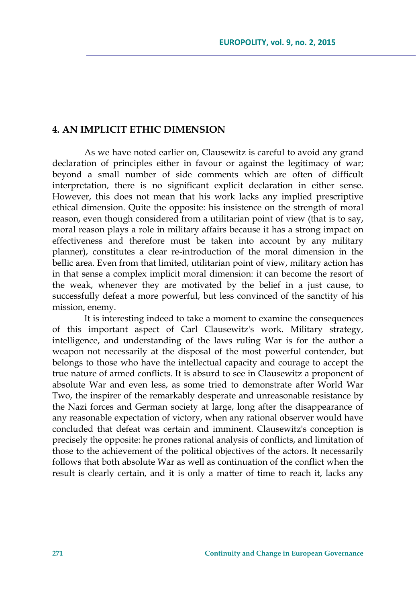## **4. AN IMPLICIT ETHIC DIMENSION**

As we have noted earlier on, Clausewitz is careful to avoid any grand declaration of principles either in favour or against the legitimacy of war; beyond a small number of side comments which are often of difficult interpretation, there is no significant explicit declaration in either sense. However, this does not mean that his work lacks any implied prescriptive ethical dimension. Quite the opposite: his insistence on the strength of moral reason, even though considered from a utilitarian point of view (that is to say, moral reason plays a role in military affairs because it has a strong impact on effectiveness and therefore must be taken into account by any military planner), constitutes a clear re-introduction of the moral dimension in the bellic area. Even from that limited, utilitarian point of view, military action has in that sense a complex implicit moral dimension: it can become the resort of the weak, whenever they are motivated by the belief in a just cause, to successfully defeat a more powerful, but less convinced of the sanctity of his mission, enemy.

It is interesting indeed to take a moment to examine the consequences of this important aspect of Carl Clausewitz's work. Military strategy, intelligence, and understanding of the laws ruling War is for the author a weapon not necessarily at the disposal of the most powerful contender, but belongs to those who have the intellectual capacity and courage to accept the true nature of armed conflicts. It is absurd to see in Clausewitz a proponent of absolute War and even less, as some tried to demonstrate after World War Two, the inspirer of the remarkably desperate and unreasonable resistance by the Nazi forces and German society at large, long after the disappearance of any reasonable expectation of victory, when any rational observer would have concluded that defeat was certain and imminent. Clausewitz's conception is precisely the opposite: he prones rational analysis of conflicts, and limitation of those to the achievement of the political objectives of the actors. It necessarily follows that both absolute War as well as continuation of the conflict when the result is clearly certain, and it is only a matter of time to reach it, lacks any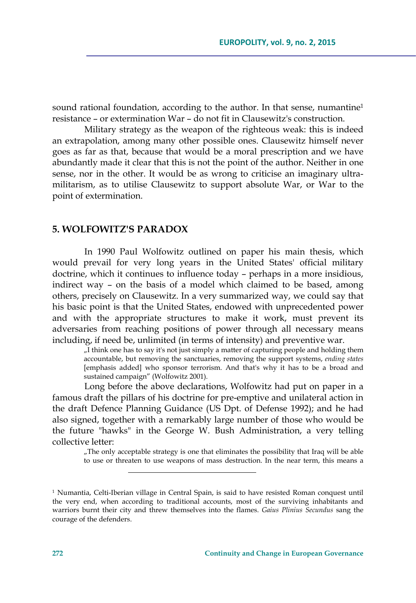sound rational foundation, according to the author. In that sense, numantine<sup>1</sup> resistance – or extermination War – do not fit in Clausewitz's construction.

Military strategy as the weapon of the righteous weak: this is indeed an extrapolation, among many other possible ones. Clausewitz himself never goes as far as that, because that would be a moral prescription and we have abundantly made it clear that this is not the point of the author. Neither in one sense, nor in the other. It would be as wrong to criticise an imaginary ultramilitarism, as to utilise Clausewitz to support absolute War, or War to the point of extermination.

#### **5. WOLFOWITZ'S PARADOX**

In 1990 Paul Wolfowitz outlined on paper his main thesis, which would prevail for very long years in the United States' official military doctrine, which it continues to influence today – perhaps in a more insidious, indirect way – on the basis of a model which claimed to be based, among others, precisely on Clausewitz. In a very summarized way, we could say that his basic point is that the United States, endowed with unprecedented power and with the appropriate structures to make it work, must prevent its adversaries from reaching positions of power through all necessary means including, if need be, unlimited (in terms of intensity) and preventive war.

> "I think one has to say it's not just simply a matter of capturing people and holding them accountable, but removing the sanctuaries, removing the support systems, *ending states* [emphasis added] who sponsor terrorism. And that's why it has to be a broad and sustained campaign" (Wolfowitz 2001).

Long before the above declarations, Wolfowitz had put on paper in a famous draft the pillars of his doctrine for pre-emptive and unilateral action in the draft Defence Planning Guidance (US Dpt. of Defense 1992); and he had also signed, together with a remarkably large number of those who would be the future "hawks" in the George W. Bush Administration, a very telling collective letter:

"The only acceptable strategy is one that eliminates the possibility that Iraq will be able to use or threaten to use weapons of mass destruction. In the near term, this means a

<sup>1</sup> Numantia, Celti-Iberian village in Central Spain, is said to have resisted Roman conquest until the very end, when according to traditional accounts, most of the surviving inhabitants and warriors burnt their city and threw themselves into the flames. *Gaius Plinius Secundus* sang the courage of the defenders.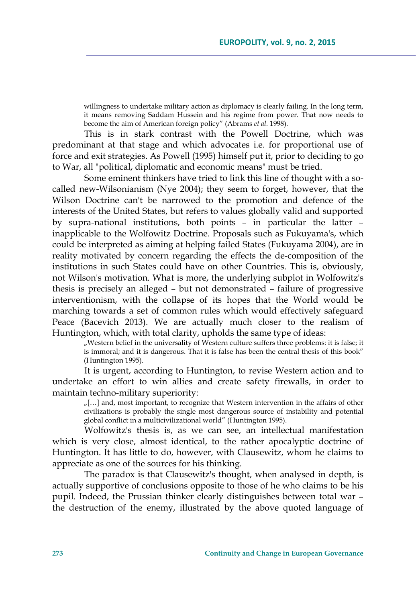willingness to undertake military action as diplomacy is clearly failing. In the long term, it means removing Saddam Hussein and his regime from power. That now needs to become the aim of American foreign policy" (Abrams *et al*. 1998).

This is in stark contrast with the Powell Doctrine, which was predominant at that stage and which advocates i.e. for proportional use of force and exit strategies. As Powell (1995) himself put it, prior to deciding to go to War, all "political, diplomatic and economic means" must be tried.

Some eminent thinkers have tried to link this line of thought with a socalled new-Wilsonianism (Nye 2004); they seem to forget, however, that the Wilson Doctrine can't be narrowed to the promotion and defence of the interests of the United States, but refers to values globally valid and supported by supra-national institutions, both points – in particular the latter – inapplicable to the Wolfowitz Doctrine. Proposals such as Fukuyama's, which could be interpreted as aiming at helping failed States (Fukuyama 2004), are in reality motivated by concern regarding the effects the de-composition of the institutions in such States could have on other Countries. This is, obviously, not Wilson's motivation. What is more, the underlying subplot in Wolfowitz's thesis is precisely an alleged – but not demonstrated – failure of progressive interventionism, with the collapse of its hopes that the World would be marching towards a set of common rules which would effectively safeguard Peace (Bacevich 2013). We are actually much closer to the realism of Huntington, which, with total clarity, upholds the same type of ideas:

> "Western belief in the universality of Western culture suffers three problems: it is false; it is immoral; and it is dangerous. That it is false has been the central thesis of this book" (Huntington 1995).

It is urgent, according to Huntington, to revise Western action and to undertake an effort to win allies and create safety firewalls, in order to maintain techno-military superiority:

"[…] and, most important, to recognize that Western intervention in the affairs of other civilizations is probably the single most dangerous source of instability and potential global conflict in a multicivilizational world" (Huntington 1995).

Wolfowitz's thesis is, as we can see, an intellectual manifestation which is very close, almost identical, to the rather apocalyptic doctrine of Huntington. It has little to do, however, with Clausewitz, whom he claims to appreciate as one of the sources for his thinking.

The paradox is that Clausewitz's thought, when analysed in depth, is actually supportive of conclusions opposite to those of he who claims to be his pupil. Indeed, the Prussian thinker clearly distinguishes between total war – the destruction of the enemy, illustrated by the above quoted language of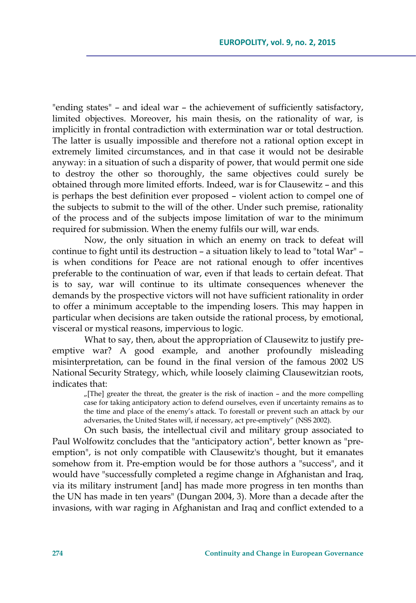"ending states" – and ideal war – the achievement of sufficiently satisfactory, limited objectives. Moreover, his main thesis, on the rationality of war, is implicitly in frontal contradiction with extermination war or total destruction. The latter is usually impossible and therefore not a rational option except in extremely limited circumstances, and in that case it would not be desirable anyway: in a situation of such a disparity of power, that would permit one side to destroy the other so thoroughly, the same objectives could surely be obtained through more limited efforts. Indeed, war is for Clausewitz – and this is perhaps the best definition ever proposed – violent action to compel one of the subjects to submit to the will of the other. Under such premise, rationality of the process and of the subjects impose limitation of war to the minimum required for submission. When the enemy fulfils our will, war ends.

Now, the only situation in which an enemy on track to defeat will continue to fight until its destruction – a situation likely to lead to "total War" – is when conditions for Peace are not rational enough to offer incentives preferable to the continuation of war, even if that leads to certain defeat. That is to say, war will continue to its ultimate consequences whenever the demands by the prospective victors will not have sufficient rationality in order to offer a minimum acceptable to the impending losers. This may happen in particular when decisions are taken outside the rational process, by emotional, visceral or mystical reasons, impervious to logic.

What to say, then, about the appropriation of Clausewitz to justify preemptive war? A good example, and another profoundly misleading misinterpretation, can be found in the final version of the famous 2002 US National Security Strategy, which, while loosely claiming Clausewitzian roots, indicates that:

"[The] greater the threat, the greater is the risk of inaction – and the more compelling case for taking anticipatory action to defend ourselves, even if uncertainty remains as to the time and place of the enemy's attack. To forestall or prevent such an attack by our adversaries, the United States will, if necessary, act pre-emptively" (NSS 2002).

On such basis, the intellectual civil and military group associated to Paul Wolfowitz concludes that the "anticipatory action", better known as "preemption", is not only compatible with Clausewitz's thought, but it emanates somehow from it. Pre-emption would be for those authors a "success", and it would have "successfully completed a regime change in Afghanistan and Iraq, via its military instrument [and] has made more progress in ten months than the UN has made in ten years" (Dungan 2004, 3). More than a decade after the invasions, with war raging in Afghanistan and Iraq and conflict extended to a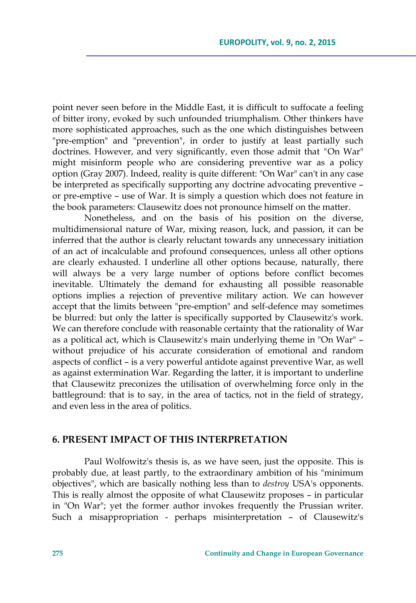point never seen before in the Middle East, it is difficult to suffocate a feeling of bitter irony, evoked by such unfounded triumphalism. Other thinkers have more sophisticated approaches, such as the one which distinguishes between "pre-emption" and "prevention", in order to justify at least partially such doctrines. However, and very significantly, even those admit that *"*On War" might misinform people who are considering preventive war as a policy option (Gray 2007). Indeed, reality is quite different: "On War" can't in any case be interpreted as specifically supporting any doctrine advocating preventive – or pre-emptive – use of War. It is simply a question which does not feature in the book parameters: Clausewitz does not pronounce himself on the matter.

Nonetheless, and on the basis of his position on the diverse, multidimensional nature of War, mixing reason, luck, and passion, it can be inferred that the author is clearly reluctant towards any unnecessary initiation of an act of incalculable and profound consequences, unless all other options are clearly exhausted. I underline all other options because, naturally, there will always be a very large number of options before conflict becomes inevitable. Ultimately the demand for exhausting all possible reasonable options implies a rejection of preventive military action. We can however accept that the limits between "pre-emption" and self-defence may sometimes be blurred: but only the latter is specifically supported by Clausewitz's work. We can therefore conclude with reasonable certainty that the rationality of War as a political act, which is Clausewitz's main underlying theme in "On War" – without prejudice of his accurate consideration of emotional and random aspects of conflict – is a very powerful antidote against preventive War, as well as against extermination War. Regarding the latter, it is important to underline that Clausewitz preconizes the utilisation of overwhelming force only in the battleground: that is to say, in the area of tactics, not in the field of strategy, and even less in the area of politics.

## **6. PRESENT IMPACT OF THIS INTERPRETATION**

Paul Wolfowitz's thesis is, as we have seen, just the opposite. This is probably due, at least partly, to the extraordinary ambition of his "minimum objectives", which are basically nothing less than to *destroy* USA's opponents. This is really almost the opposite of what Clausewitz proposes – in particular in "On War"; yet the former author invokes frequently the Prussian writer. Such a misappropriation - perhaps misinterpretation – of Clausewitz's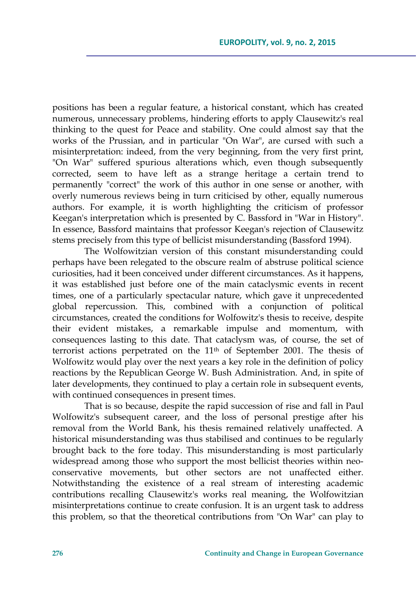positions has been a regular feature, a historical constant, which has created numerous, unnecessary problems, hindering efforts to apply Clausewitz's real thinking to the quest for Peace and stability. One could almost say that the works of the Prussian, and in particular "On War", are cursed with such a misinterpretation: indeed, from the very beginning, from the very first print, "On War" suffered spurious alterations which, even though subsequently corrected, seem to have left as a strange heritage a certain trend to permanently "correct" the work of this author in one sense or another, with overly numerous reviews being in turn criticised by other, equally numerous authors. For example, it is worth highlighting the criticism of professor Keegan's interpretation which is presented by C. Bassford in "War in History". In essence, Bassford maintains that professor Keegan's rejection of Clausewitz stems precisely from this type of bellicist misunderstanding (Bassford 1994).

The Wolfowitzian version of this constant misunderstanding could perhaps have been relegated to the obscure realm of abstruse political science curiosities, had it been conceived under different circumstances. As it happens, it was established just before one of the main cataclysmic events in recent times, one of a particularly spectacular nature, which gave it unprecedented global repercussion. This, combined with a conjunction of political circumstances, created the conditions for Wolfowitz's thesis to receive, despite their evident mistakes, a remarkable impulse and momentum, with consequences lasting to this date. That cataclysm was, of course, the set of terrorist actions perpetrated on the 11th of September 2001. The thesis of Wolfowitz would play over the next years a key role in the definition of policy reactions by the Republican George W. Bush Administration. And, in spite of later developments, they continued to play a certain role in subsequent events, with continued consequences in present times.

That is so because, despite the rapid succession of rise and fall in Paul Wolfowitz's subsequent career, and the loss of personal prestige after his removal from the World Bank, his thesis remained relatively unaffected. A historical misunderstanding was thus stabilised and continues to be regularly brought back to the fore today. This misunderstanding is most particularly widespread among those who support the most bellicist theories within neoconservative movements, but other sectors are not unaffected either. Notwithstanding the existence of a real stream of interesting academic contributions recalling Clausewitz's works real meaning, the Wolfowitzian misinterpretations continue to create confusion. It is an urgent task to address this problem, so that the theoretical contributions from "On War" can play to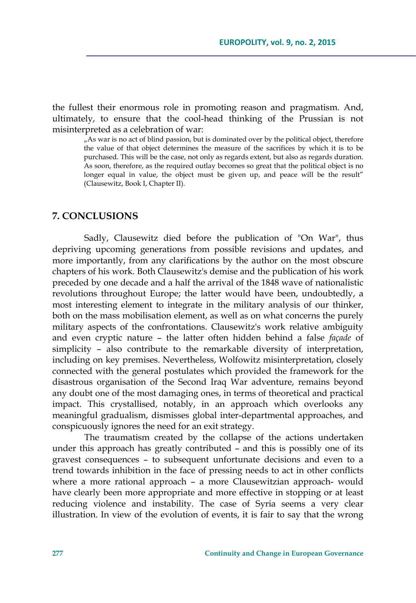the fullest their enormous role in promoting reason and pragmatism. And, ultimately, to ensure that the cool-head thinking of the Prussian is not misinterpreted as a celebration of war:

"As war is no act of blind passion, but is dominated over by the political object, therefore the value of that object determines the measure of the sacrifices by which it is to be purchased. This will be the case, not only as regards extent, but also as regards duration. As soon, therefore, as the required outlay becomes so great that the political object is no longer equal in value, the object must be given up, and peace will be the result" (Clausewitz, Book I, Chapter II).

#### **7. CONCLUSIONS**

Sadly, Clausewitz died before the publication of "On War", thus depriving upcoming generations from possible revisions and updates, and more importantly, from any clarifications by the author on the most obscure chapters of his work. Both Clausewitz's demise and the publication of his work preceded by one decade and a half the arrival of the 1848 wave of nationalistic revolutions throughout Europe; the latter would have been, undoubtedly, a most interesting element to integrate in the military analysis of our thinker, both on the mass mobilisation element, as well as on what concerns the purely military aspects of the confrontations. Clausewitz's work relative ambiguity and even cryptic nature – the latter often hidden behind a false *façade* of simplicity – also contribute to the remarkable diversity of interpretation, including on key premises. Nevertheless, Wolfowitz misinterpretation, closely connected with the general postulates which provided the framework for the disastrous organisation of the Second Iraq War adventure, remains beyond any doubt one of the most damaging ones, in terms of theoretical and practical impact. This crystallised, notably, in an approach which overlooks any meaningful gradualism, dismisses global inter-departmental approaches, and conspicuously ignores the need for an exit strategy.

The traumatism created by the collapse of the actions undertaken under this approach has greatly contributed – and this is possibly one of its gravest consequences – to subsequent unfortunate decisions and even to a trend towards inhibition in the face of pressing needs to act in other conflicts where a more rational approach – a more Clausewitzian approach- would have clearly been more appropriate and more effective in stopping or at least reducing violence and instability. The case of Syria seems a very clear illustration. In view of the evolution of events, it is fair to say that the wrong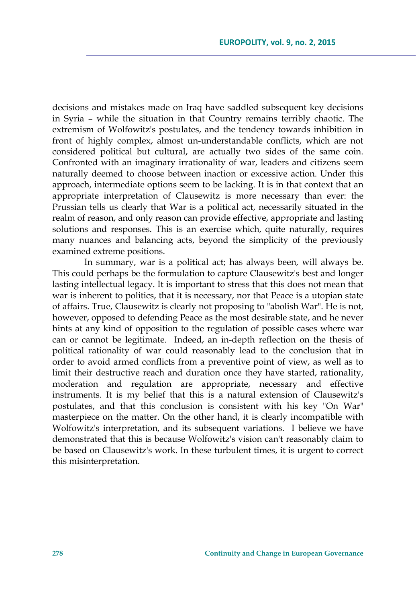decisions and mistakes made on Iraq have saddled subsequent key decisions in Syria – while the situation in that Country remains terribly chaotic. The extremism of Wolfowitz's postulates, and the tendency towards inhibition in front of highly complex, almost un-understandable conflicts, which are not considered political but cultural, are actually two sides of the same coin. Confronted with an imaginary irrationality of war, leaders and citizens seem naturally deemed to choose between inaction or excessive action. Under this approach, intermediate options seem to be lacking. It is in that context that an appropriate interpretation of Clausewitz is more necessary than ever: the Prussian tells us clearly that War is a political act, necessarily situated in the realm of reason, and only reason can provide effective, appropriate and lasting solutions and responses. This is an exercise which, quite naturally, requires many nuances and balancing acts, beyond the simplicity of the previously examined extreme positions.

In summary, war is a political act; has always been, will always be. This could perhaps be the formulation to capture Clausewitz's best and longer lasting intellectual legacy. It is important to stress that this does not mean that war is inherent to politics, that it is necessary, nor that Peace is a utopian state of affairs. True, Clausewitz is clearly not proposing to "abolish War". He is not, however, opposed to defending Peace as the most desirable state, and he never hints at any kind of opposition to the regulation of possible cases where war can or cannot be legitimate. Indeed, an in-depth reflection on the thesis of political rationality of war could reasonably lead to the conclusion that in order to avoid armed conflicts from a preventive point of view, as well as to limit their destructive reach and duration once they have started, rationality, moderation and regulation are appropriate, necessary and effective instruments. It is my belief that this is a natural extension of Clausewitz's postulates, and that this conclusion is consistent with his key "On War" masterpiece on the matter. On the other hand, it is clearly incompatible with Wolfowitz's interpretation, and its subsequent variations. I believe we have demonstrated that this is because Wolfowitz's vision can't reasonably claim to be based on Clausewitz's work. In these turbulent times, it is urgent to correct this misinterpretation.